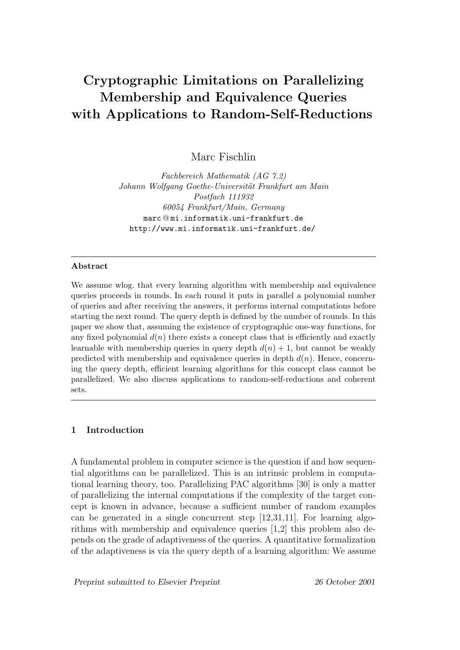# Cryptographic Limitations on Parallelizing Membership and Equivalence Queries with Applications to Random-Self-Reductions

Marc Fischlin

Fachbereich Mathematik (AG 7.2) Johann Wolfgang Goethe-Universität Frankfurt am Main Postfach 111932 60054 Frankfurt/Main, Germany marc @ mi.informatik.uni-frankfurt.de http://www.mi.informatik.uni-frankfurt.de/

# Abstract

We assume wlog, that every learning algorithm with membership and equivalence queries proceeds in rounds. In each round it puts in parallel a polynomial number of queries and after receiving the answers, it performs internal computations before starting the next round. The query depth is defined by the number of rounds. In this paper we show that, assuming the existence of cryptographic one-way functions, for any fixed polynomial  $d(n)$  there exists a concept class that is efficiently and exactly learnable with membership queries in query depth  $d(n) + 1$ , but cannot be weakly predicted with membership and equivalence queries in depth  $d(n)$ . Hence, concerning the query depth, efficient learning algorithms for this concept class cannot be parallelized. We also discuss applications to random-self-reductions and coherent sets.

# 1 Introduction

A fundamental problem in computer science is the question if and how sequential algorithms can be parallelized. This is an intrinsic problem in computational learning theory, too. Parallelizing PAC algorithms [30] is only a matter of parallelizing the internal computations if the complexity of the target concept is known in advance, because a sufficient number of random examples can be generated in a single concurrent step [12,31,11]. For learning algorithms with membership and equivalence queries [1,2] this problem also depends on the grade of adaptiveness of the queries. A quantitative formalization of the adaptiveness is via the query depth of a learning algorithm: We assume

Preprint submitted to Elsevier Preprint 26 October 2001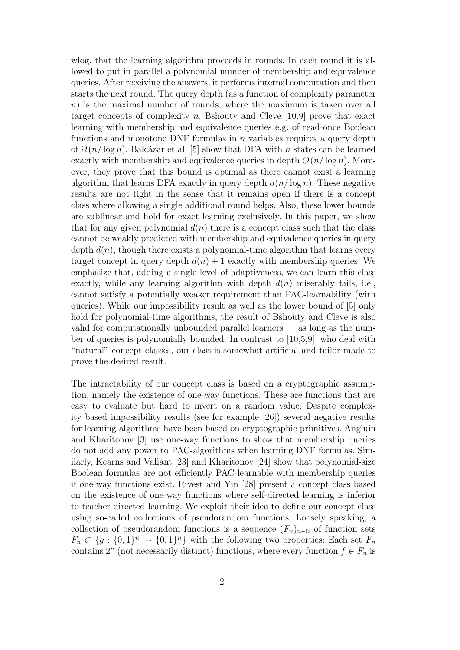wlog. that the learning algorithm proceeds in rounds. In each round it is allowed to put in parallel a polynomial number of membership and equivalence queries. After receiving the answers, it performs internal computation and then starts the next round. The query depth (as a function of complexity parameter  $n)$  is the maximal number of rounds, where the maximum is taken over all target concepts of complexity n. Bshouty and Cleve  $[10,9]$  prove that exact learning with membership and equivalence queries e.g. of read-once Boolean functions and monotone DNF formulas in  $n$  variables requires a query depth of  $\Omega(n/\log n)$ . Balcázar et al. [5] show that DFA with n states can be learned exactly with membership and equivalence queries in depth  $O(n/\log n)$ . Moreover, they prove that this bound is optimal as there cannot exist a learning algorithm that learns DFA exactly in query depth  $o(n/\log n)$ . These negative results are not tight in the sense that it remains open if there is a concept class where allowing a single additional round helps. Also, these lower bounds are sublinear and hold for exact learning exclusively. In this paper, we show that for any given polynomial  $d(n)$  there is a concept class such that the class cannot be weakly predicted with membership and equivalence queries in query depth  $d(n)$ , though there exists a polynomial-time algorithm that learns every target concept in query depth  $d(n) + 1$  exactly with membership queries. We emphasize that, adding a single level of adaptiveness, we can learn this class exactly, while any learning algorithm with depth  $d(n)$  miserably fails, i.e., cannot satisfy a potentially weaker requirement than PAC-learnability (with queries). While our impossibility result as well as the lower bound of [5] only hold for polynomial-time algorithms, the result of Bshouty and Cleve is also valid for computationally unbounded parallel learners — as long as the number of queries is polynomially bounded. In contrast to [10,5,9], who deal with "natural" concept classes, our class is somewhat artificial and tailor made to prove the desired result.

The intractability of our concept class is based on a cryptographic assumption, namely the existence of one-way functions. These are functions that are easy to evaluate but hard to invert on a random value. Despite complexity based impossibility results (see for example [26]) several negative results for learning algorithms have been based on cryptographic primitives. Angluin and Kharitonov [3] use one-way functions to show that membership queries do not add any power to PAC-algorithms when learning DNF formulas. Similarly, Kearns and Valiant [23] and Kharitonov [24] show that polynomial-size Boolean formulas are not efficiently PAC-learnable with membership queries if one-way functions exist. Rivest and Yin [28] present a concept class based on the existence of one-way functions where self-directed learning is inferior to teacher-directed learning. We exploit their idea to define our concept class using so-called collections of pseudorandom functions. Loosely speaking, a collection of pseudorandom functions is a sequence  $(F_n)_{n\in\mathbb{N}}$  of function sets  $F_n \subset \{g: \{0,1\}^n \to \{0,1\}^n\}$  with the following two properties: Each set  $F_n$ contains  $2^n$  (not necessarily distinct) functions, where every function  $f \in F_n$  is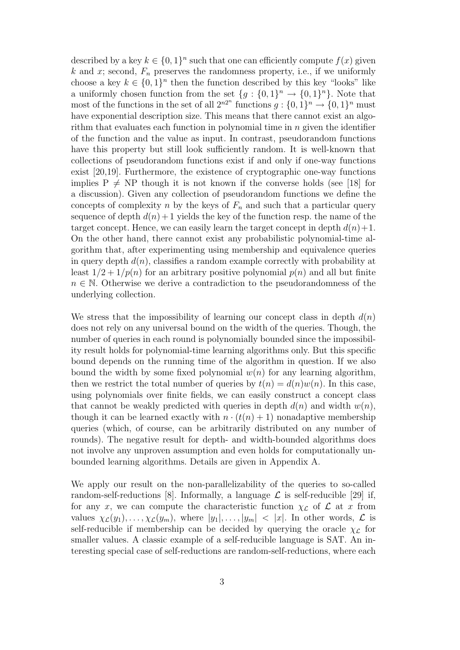described by a key  $k \in \{0,1\}^n$  such that one can efficiently compute  $f(x)$  given k and x; second,  $F_n$  preserves the randomness property, i.e., if we uniformly choose a key  $k \in \{0,1\}^n$  then the function described by this key "looks" like a uniformly chosen function from the set  $\{g: \{0,1\}^n \to \{0,1\}^n\}$ . Note that most of the functions in the set of all  $2^{n2^n}$  functions  $g: \{0, 1\}^n \to \{0, 1\}^n$  must have exponential description size. This means that there cannot exist an algorithm that evaluates each function in polynomial time in  $n$  given the identifier of the function and the value as input. In contrast, pseudorandom functions have this property but still look sufficiently random. It is well-known that collections of pseudorandom functions exist if and only if one-way functions exist [20,19]. Furthermore, the existence of cryptographic one-way functions implies  $P \neq NP$  though it is not known if the converse holds (see [18] for a discussion). Given any collection of pseudorandom functions we define the concepts of complexity n by the keys of  $F_n$  and such that a particular query sequence of depth  $d(n) + 1$  yields the key of the function resp. the name of the target concept. Hence, we can easily learn the target concept in depth  $d(n)+1$ . On the other hand, there cannot exist any probabilistic polynomial-time algorithm that, after experimenting using membership and equivalence queries in query depth  $d(n)$ , classifies a random example correctly with probability at least  $1/2 + 1/p(n)$  for an arbitrary positive polynomial  $p(n)$  and all but finite  $n \in \mathbb{N}$ . Otherwise we derive a contradiction to the pseudorandomness of the underlying collection.

We stress that the impossibility of learning our concept class in depth  $d(n)$ does not rely on any universal bound on the width of the queries. Though, the number of queries in each round is polynomially bounded since the impossibility result holds for polynomial-time learning algorithms only. But this specific bound depends on the running time of the algorithm in question. If we also bound the width by some fixed polynomial  $w(n)$  for any learning algorithm, then we restrict the total number of queries by  $t(n) = d(n)w(n)$ . In this case, using polynomials over finite fields, we can easily construct a concept class that cannot be weakly predicted with queries in depth  $d(n)$  and width  $w(n)$ , though it can be learned exactly with  $n \cdot (t(n) + 1)$  nonadaptive membership queries (which, of course, can be arbitrarily distributed on any number of rounds). The negative result for depth- and width-bounded algorithms does not involve any unproven assumption and even holds for computationally unbounded learning algorithms. Details are given in Appendix A.

We apply our result on the non-parallelizability of the queries to so-called random-self-reductions [8]. Informally, a language  $\mathcal L$  is self-reducible [29] if, for any x, we can compute the characteristic function  $\chi_{\mathcal{L}}$  of  $\mathcal{L}$  at x from values  $\chi_{\mathcal{L}}(y_1), \ldots, \chi_{\mathcal{L}}(y_m)$ , where  $|y_1|, \ldots, |y_m| < |x|$ . In other words,  $\mathcal{L}$  is self-reducible if membership can be decided by querying the oracle  $\chi_{\mathcal{L}}$  for smaller values. A classic example of a self-reducible language is SAT. An interesting special case of self-reductions are random-self-reductions, where each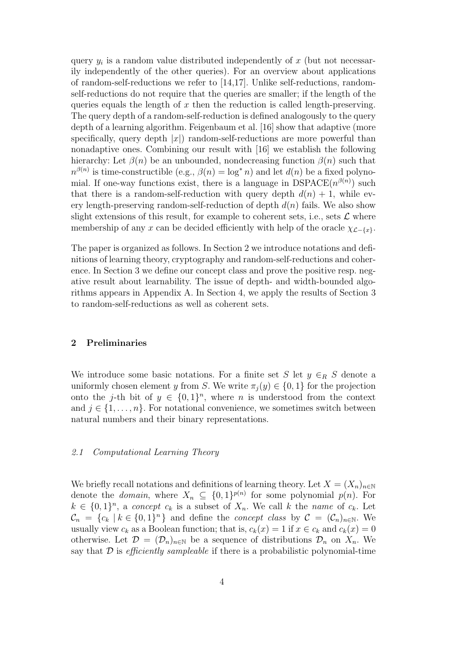query  $y_i$  is a random value distributed independently of x (but not necessarily independently of the other queries). For an overview about applications of random-self-reductions we refer to [14,17]. Unlike self-reductions, randomself-reductions do not require that the queries are smaller; if the length of the queries equals the length of  $x$  then the reduction is called length-preserving. The query depth of a random-self-reduction is defined analogously to the query depth of a learning algorithm. Feigenbaum et al. [16] show that adaptive (more specifically, query depth  $|x|$ ) random-self-reductions are more powerful than nonadaptive ones. Combining our result with [16] we establish the following hierarchy: Let  $\beta(n)$  be an unbounded, nondecreasing function  $\beta(n)$  such that  $n^{\beta(n)}$  is time-constructible (e.g.,  $\beta(n) = \log^* n$ ) and let  $d(n)$  be a fixed polynomial. If one-way functions exist, there is a language in  $DSPACE(n^{\beta(n)})$  such that there is a random-self-reduction with query depth  $d(n) + 1$ , while every length-preserving random-self-reduction of depth  $d(n)$  fails. We also show slight extensions of this result, for example to coherent sets, i.e., sets  $\mathcal L$  where membership of any x can be decided efficiently with help of the oracle  $\chi_{\mathcal{L}-\{x\}}$ .

The paper is organized as follows. In Section 2 we introduce notations and definitions of learning theory, cryptography and random-self-reductions and coherence. In Section 3 we define our concept class and prove the positive resp. negative result about learnability. The issue of depth- and width-bounded algorithms appears in Appendix A. In Section 4, we apply the results of Section 3 to random-self-reductions as well as coherent sets.

# 2 Preliminaries

We introduce some basic notations. For a finite set S let  $y \in_R S$  denote a uniformly chosen element y from S. We write  $\pi_i(y) \in \{0,1\}$  for the projection onto the j-th bit of  $y \in \{0,1\}^n$ , where n is understood from the context and  $j \in \{1, \ldots, n\}$ . For notational convenience, we sometimes switch between natural numbers and their binary representations.

## 2.1 Computational Learning Theory

We briefly recall notations and definitions of learning theory. Let  $X = (X_n)_{n \in \mathbb{N}}$ denote the *domain*, where  $X_n \subseteq \{0,1\}^{p(n)}$  for some polynomial  $p(n)$ . For  $k \in \{0,1\}^n$ , a concept  $c_k$  is a subset of  $X_n$ . We call k the name of  $c_k$ . Let  $\mathcal{C}_n = \{c_k \mid k \in \{0,1\}^n\}$  and define the *concept class* by  $\mathcal{C} = (\mathcal{C}_n)_{n \in \mathbb{N}}$ . We usually view  $c_k$  as a Boolean function; that is,  $c_k(x) = 1$  if  $x \in c_k$  and  $c_k(x) = 0$ otherwise. Let  $\mathcal{D} = (\mathcal{D}_n)_{n \in \mathbb{N}}$  be a sequence of distributions  $\mathcal{D}_n$  on  $X_n$ . We say that  $D$  is *efficiently sampleable* if there is a probabilistic polynomial-time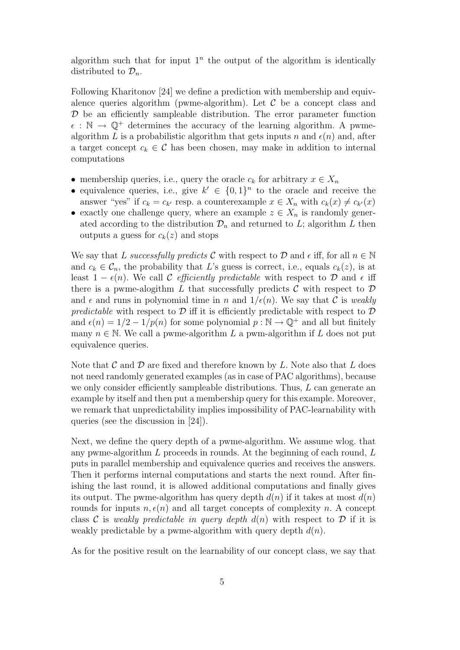algorithm such that for input  $1^n$  the output of the algorithm is identically distributed to  $\mathcal{D}_n$ .

Following Kharitonov [24] we define a prediction with membership and equivalence queries algorithm (pwme-algorithm). Let  $\mathcal C$  be a concept class and  $D$  be an efficiently sampleable distribution. The error parameter function  $\epsilon : \mathbb{N} \to \mathbb{Q}^+$  determines the accuracy of the learning algorithm. A pwmealgorithm L is a probabilistic algorithm that gets inputs n and  $\epsilon(n)$  and, after a target concept  $c_k \in \mathcal{C}$  has been chosen, may make in addition to internal computations

- membership queries, i.e., query the oracle  $c_k$  for arbitrary  $x \in X_n$
- equivalence queries, i.e., give  $k' \in \{0,1\}^n$  to the oracle and receive the answer "yes" if  $c_k = c_{k'}$  resp. a counterexample  $x \in X_n$  with  $c_k(x) \neq c_{k'}(x)$
- exactly one challenge query, where an example  $z \in X_n$  is randomly generated according to the distribution  $\mathcal{D}_n$  and returned to L; algorithm L then outputs a guess for  $c_k(z)$  and stops

We say that L successfully predicts C with respect to D and  $\epsilon$  iff, for all  $n \in \mathbb{N}$ and  $c_k \in \mathcal{C}_n$ , the probability that L's guess is correct, i.e., equals  $c_k(z)$ , is at least  $1 - \epsilon(n)$ . We call C efficiently predictable with respect to D and  $\epsilon$  iff there is a pwme-alogithm L that successfully predicts C with respect to  $D$ and  $\epsilon$  and runs in polynomial time in n and  $1/\epsilon(n)$ . We say that C is weakly predictable with respect to  $D$  iff it is efficiently predictable with respect to  $D$ and  $\epsilon(n) = 1/2 - 1/p(n)$  for some polynomial  $p : \mathbb{N} \to \mathbb{Q}^+$  and all but finitely many  $n \in \mathbb{N}$ . We call a pwm-algorithm L a pwm-algorithm if L does not put equivalence queries.

Note that  $\mathcal C$  and  $\mathcal D$  are fixed and therefore known by L. Note also that L does not need randomly generated examples (as in case of PAC algorithms), because we only consider efficiently sampleable distributions. Thus, L can generate an example by itself and then put a membership query for this example. Moreover, we remark that unpredictability implies impossibility of PAC-learnability with queries (see the discussion in [24]).

Next, we define the query depth of a pwme-algorithm. We assume wlog. that any pwme-algorithm  $L$  proceeds in rounds. At the beginning of each round,  $L$ puts in parallel membership and equivalence queries and receives the answers. Then it performs internal computations and starts the next round. After finishing the last round, it is allowed additional computations and finally gives its output. The pwme-algorithm has query depth  $d(n)$  if it takes at most  $d(n)$ rounds for inputs  $n, \epsilon(n)$  and all target concepts of complexity n. A concept class C is weakly predictable in query depth  $d(n)$  with respect to D if it is weakly predictable by a pwme-algorithm with query depth  $d(n)$ .

As for the positive result on the learnability of our concept class, we say that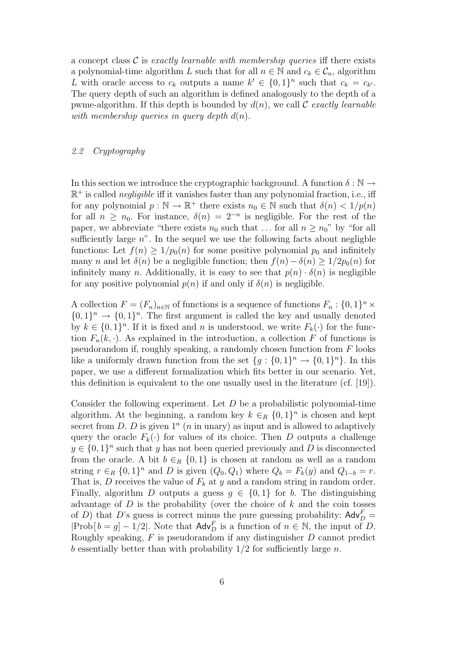a concept class  $\mathcal C$  is exactly learnable with membership queries iff there exists a polynomial-time algorithm L such that for all  $n \in \mathbb{N}$  and  $c_k \in \mathcal{C}_n$ , algorithm L with oracle access to  $c_k$  outputs a name  $k' \in \{0,1\}^n$  such that  $c_k = c_{k'}$ . The query depth of such an algorithm is defined analogously to the depth of a pwme-algorithm. If this depth is bounded by  $d(n)$ , we call C exactly learnable with membership queries in query depth  $d(n)$ .

# 2.2 Cryptography

In this section we introduce the cryptographic background. A function  $\delta : \mathbb{N} \to$  $\mathbb{R}^+$  is called *negligible* iff it vanishes faster than any polynomial fraction, i.e., iff for any polynomial  $p : \mathbb{N} \to \mathbb{R}^+$  there exists  $n_0 \in \mathbb{N}$  such that  $\delta(n) < 1/p(n)$ for all  $n \geq n_0$ . For instance,  $\delta(n) = 2^{-n}$  is negligible. For the rest of the paper, we abbreviate "there exists  $n_0$  such that ... for all  $n \geq n_0$ " by "for all sufficiently large  $n$ ". In the sequel we use the following facts about negligble functions: Let  $f(n) \geq 1/p_0(n)$  for some positive polynomial  $p_0$  and infinitely many n and let  $\delta(n)$  be a negligible function; then  $f(n) - \delta(n) \geq 1/2p_0(n)$  for infinitely many n. Additionally, it is easy to see that  $p(n) \cdot \delta(n)$  is negligible for any positive polynomial  $p(n)$  if and only if  $\delta(n)$  is negligible.

A collection  $F = (F_n)_{n \in \mathbb{N}}$  of functions is a sequence of functions  $F_n : \{0,1\}^n \times$  $\{0,1\}^n \rightarrow \{0,1\}^n$ . The first argument is called the key and usually denoted by  $k \in \{0,1\}^n$ . If it is fixed and n is understood, we write  $F_k(\cdot)$  for the function  $F_n(k, \cdot)$ . As explained in the introduction, a collection F of functions is pseudorandom if, roughly speaking, a randomly chosen function from F looks like a uniformly drawn function from the set  ${g: \{0,1\}^n \to {0,1\}^n}$ . In this paper, we use a different formalization which fits better in our scenario. Yet, this definition is equivalent to the one usually used in the literature (cf. [19]).

Consider the following experiment. Let  $D$  be a probabilistic polynomial-time algorithm. At the beginning, a random key  $k \in_R \{0,1\}^n$  is chosen and kept secret from  $D$ .  $D$  is given  $1<sup>n</sup>$  (*n* in unary) as input and is allowed to adaptively query the oracle  $F_k(\cdot)$  for values of its choice. Then D outputs a challenge  $y \in \{0,1\}^n$  such that y has not been queried previously and D is disconnected from the oracle. A bit  $b \in_R \{0,1\}$  is chosen at random as well as a random string  $r \in_R \{0,1\}^n$  and D is given  $(Q_0, Q_1)$  where  $Q_b = F_k(y)$  and  $Q_{1-b} = r$ . That is, D receives the value of  $F_k$  at y and a random string in random order. Finally, algorithm D outputs a guess  $g \in \{0,1\}$  for b. The distinguishing advantage of  $D$  is the probability (over the choice of k and the coin tosses of D) that D's guess is correct minus the pure guessing probability:  $\mathsf{Adv}_{D}^{F} =$  $|\text{Prob}[b = g] - 1/2|$ . Note that  $\mathsf{Adv}_{D}^{F}$  is a function of  $n \in \mathbb{N}$ , the input of D. Roughly speaking, F is pseudorandom if any distinguisher D cannot predict b essentially better than with probability  $1/2$  for sufficiently large n.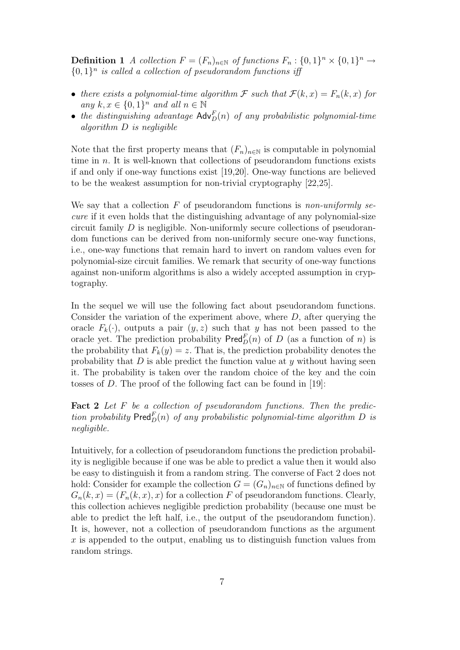**Definition 1** A collection  $F = (F_n)_{n \in \mathbb{N}}$  of functions  $F_n : \{0,1\}^n \times \{0,1\}^n \to$  $\{0,1\}^n$  is called a collection of pseudorandom functions if

- there exists a polynomial-time algorithm F such that  $\mathcal{F}(k, x) = F_n(k, x)$  for any  $k, x \in \{0,1\}^n$  and all  $n \in \mathbb{N}$
- the distinguishing advantage  $\mathsf{Adv}_{D}^{F}(n)$  of any probabilistic polynomial-time algorithm D is negligible

Note that the first property means that  $(F_n)_{n\in\mathbb{N}}$  is computable in polynomial time in  $n$ . It is well-known that collections of pseudorandom functions exists if and only if one-way functions exist [19,20]. One-way functions are believed to be the weakest assumption for non-trivial cryptography [22,25].

We say that a collection F of pseudorandom functions is non-uniformly secure if it even holds that the distinguishing advantage of any polynomial-size circuit family D is negligible. Non-uniformly secure collections of pseudorandom functions can be derived from non-uniformly secure one-way functions, i.e., one-way functions that remain hard to invert on random values even for polynomial-size circuit families. We remark that security of one-way functions against non-uniform algorithms is also a widely accepted assumption in cryptography.

In the sequel we will use the following fact about pseudorandom functions. Consider the variation of the experiment above, where  $D$ , after querying the oracle  $F_k(\cdot)$ , outputs a pair  $(y, z)$  such that y has not been passed to the oracle yet. The prediction probability  $\mathsf{Pred}_D^F(n)$  of D (as a function of n) is the probability that  $F_k(y) = z$ . That is, the prediction probability denotes the probability that  $D$  is able predict the function value at  $\gamma$  without having seen it. The probability is taken over the random choice of the key and the coin tosses of D. The proof of the following fact can be found in [19]:

**Fact 2** Let  $F$  be a collection of pseudorandom functions. Then the prediction probability  $\mathsf{Pred}_D^F(n)$  of any probabilistic polynomial-time algorithm D is negligible.

Intuitively, for a collection of pseudorandom functions the prediction probability is negligible because if one was be able to predict a value then it would also be easy to distinguish it from a random string. The converse of Fact 2 does not hold: Consider for example the collection  $G = (G_n)_{n \in \mathbb{N}}$  of functions defined by  $G_n(k, x) = (F_n(k, x), x)$  for a collection F of pseudorandom functions. Clearly, this collection achieves negligible prediction probability (because one must be able to predict the left half, i.e., the output of the pseudorandom function). It is, however, not a collection of pseudorandom functions as the argument  $x$  is appended to the output, enabling us to distinguish function values from random strings.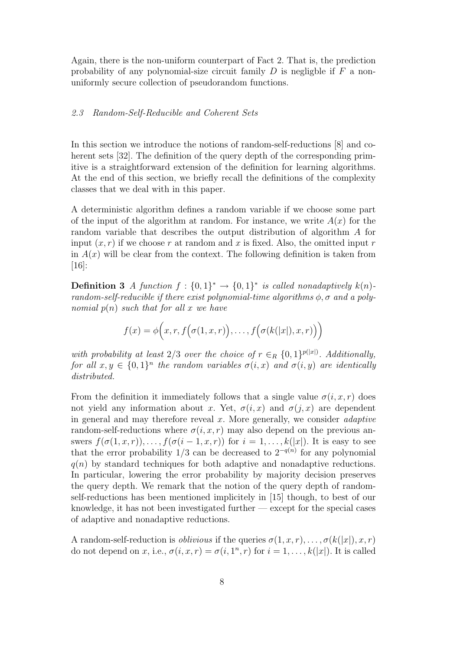Again, there is the non-uniform counterpart of Fact 2. That is, the prediction probability of any polynomial-size circuit family  $D$  is negligble if  $F$  a nonuniformly secure collection of pseudorandom functions.

# 2.3 Random-Self-Reducible and Coherent Sets

In this section we introduce the notions of random-self-reductions [8] and coherent sets [32]. The definition of the query depth of the corresponding primitive is a straightforward extension of the definition for learning algorithms. At the end of this section, we briefly recall the definitions of the complexity classes that we deal with in this paper.

A deterministic algorithm defines a random variable if we choose some part of the input of the algorithm at random. For instance, we write  $A(x)$  for the random variable that describes the output distribution of algorithm A for input  $(x, r)$  if we choose r at random and x is fixed. Also, the omitted input r in  $A(x)$  will be clear from the context. The following definition is taken from [16]:

**Definition 3** A function  $f: \{0,1\}^* \rightarrow \{0,1\}^*$  is called nonadaptively  $k(n)$ random-self-reducible if there exist polynomial-time algorithms  $\phi$ ,  $\sigma$  and a polynomial  $p(n)$  such that for all x we have

$$
f(x) = \phi\Big(x, r, f\Big(\sigma(1, x, r)\Big), \ldots, f\Big(\sigma(k(|x|), x, r)\Big)\Big)
$$

with probability at least 2/3 over the choice of  $r \in_R \{0,1\}^{p(|x|)}$ . Additionally, for all  $x, y \in \{0,1\}^n$  the random variables  $\sigma(i, x)$  and  $\sigma(i, y)$  are identically distributed.

From the definition it immediately follows that a single value  $\sigma(i, x, r)$  does not yield any information about x. Yet,  $\sigma(i, x)$  and  $\sigma(j, x)$  are dependent in general and may therefore reveal  $x$ . More generally, we consider *adaptive* random-self-reductions where  $\sigma(i, x, r)$  may also depend on the previous answers  $f(\sigma(1, x, r)), \ldots, f(\sigma(i-1, x, r))$  for  $i = 1, \ldots, k(|x|)$ . It is easy to see that the error probability 1/3 can be decreased to  $2^{-q(n)}$  for any polynomial  $q(n)$  by standard techniques for both adaptive and nonadaptive reductions. In particular, lowering the error probability by majority decision preserves the query depth. We remark that the notion of the query depth of randomself-reductions has been mentioned implicitely in [15] though, to best of our knowledge, it has not been investigated further — except for the special cases of adaptive and nonadaptive reductions.

A random-self-reduction is *oblivious* if the queries  $\sigma(1, x, r), \ldots, \sigma(k(|x|), x, r)$ do not depend on x, i.e.,  $\sigma(i, x, r) = \sigma(i, 1^n, r)$  for  $i = 1, ..., k(|x|)$ . It is called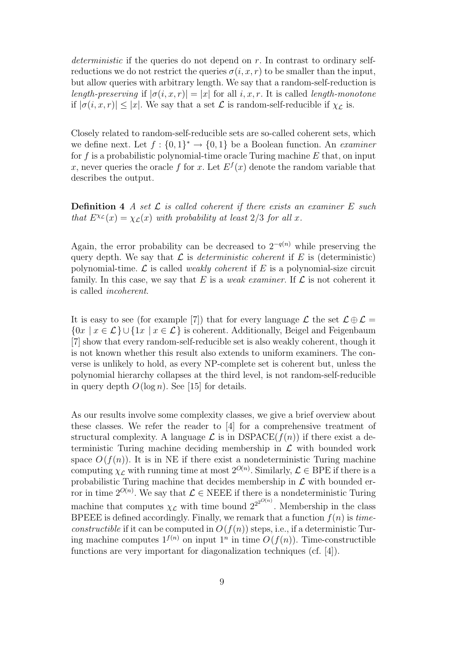deterministic if the queries do not depend on  $r$ . In contrast to ordinary selfreductions we do not restrict the queries  $\sigma(i, x, r)$  to be smaller than the input, but allow queries with arbitrary length. We say that a random-self-reduction is length-preserving if  $|\sigma(i, x, r)| = |x|$  for all i, x, r. It is called length-monotone if  $|\sigma(i, x, r)| \leq |x|$ . We say that a set  $\mathcal L$  is random-self-reducible if  $\chi_{\mathcal L}$  is.

Closely related to random-self-reducible sets are so-called coherent sets, which we define next. Let  $f: \{0,1\}^* \to \{0,1\}$  be a Boolean function. An examiner for  $f$  is a probabilistic polynomial-time oracle Turing machine  $E$  that, on input x, never queries the oracle f for x. Let  $E^{f}(x)$  denote the random variable that describes the output.

**Definition 4** A set  $\mathcal{L}$  is called coherent if there exists an examiner  $E$  such that  $E^{\chi_{\mathcal{L}}}(x) = \chi_{\mathcal{L}}(x)$  with probability at least 2/3 for all x.

Again, the error probability can be decreased to  $2^{-q(n)}$  while preserving the query depth. We say that  $\mathcal L$  is *deterministic coherent* if  $E$  is (deterministic) polynomial-time.  $\mathcal L$  is called *weakly coherent* if E is a polynomial-size circuit family. In this case, we say that E is a *weak examiner*. If  $\mathcal L$  is not coherent it is called incoherent.

It is easy to see (for example [7]) that for every language  $\mathcal L$  the set  $\mathcal L \oplus \mathcal L =$  $\{0x \mid x \in \mathcal{L}\}\cup\{1x \mid x \in \mathcal{L}\}\$ is coherent. Additionally, Beigel and Feigenbaum [7] show that every random-self-reducible set is also weakly coherent, though it is not known whether this result also extends to uniform examiners. The converse is unlikely to hold, as every NP-complete set is coherent but, unless the polynomial hierarchy collapses at the third level, is not random-self-reducible in query depth  $O(\log n)$ . See [15] for details.

As our results involve some complexity classes, we give a brief overview about these classes. We refer the reader to [4] for a comprehensive treatment of structural complexity. A language  $\mathcal L$  is in DSPACE( $f(n)$ ) if there exist a deterministic Turing machine deciding membership in  $\mathcal L$  with bounded work space  $O(f(n))$ . It is in NE if there exist a nondeterministic Turing machine computing  $\chi_{\mathcal{L}}$  with running time at most  $2^{O(n)}$ . Similarly,  $\mathcal{L} \in \text{BPE}$  if there is a probabilistic Turing machine that decides membership in  $\mathcal L$  with bounded erfor in time  $2^{O(n)}$ . We say that  $\mathcal{L} \in \text{NEEE}$  if there is a nondeterministic Turing machine that computes  $\chi_{\mathcal{L}}$  with time bound  $2^{2^{2^{O(n)}}}$ . Membership in the class BPEEE is defined accordingly. Finally, we remark that a function  $f(n)$  is timeconstructible if it can be computed in  $O(f(n))$  steps, i.e., if a deterministic Turing machine computes  $1^{f(n)}$  on input  $1^n$  in time  $O(f(n))$ . Time-constructible functions are very important for diagonalization techniques (cf. [4]).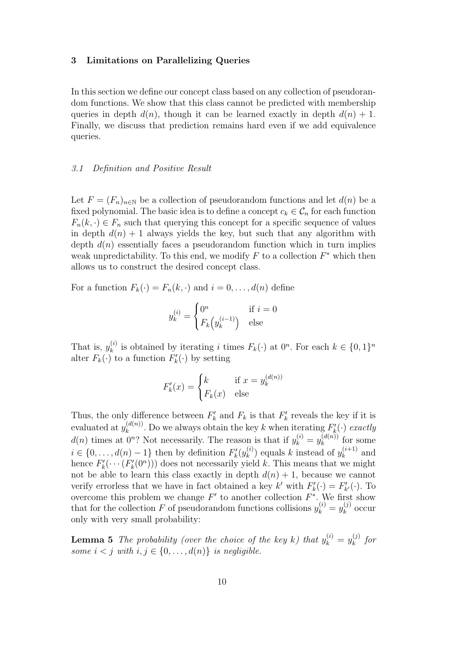## 3 Limitations on Parallelizing Queries

In this section we define our concept class based on any collection of pseudorandom functions. We show that this class cannot be predicted with membership queries in depth  $d(n)$ , though it can be learned exactly in depth  $d(n) + 1$ . Finally, we discuss that prediction remains hard even if we add equivalence queries.

#### 3.1 Definition and Positive Result

Let  $F = (F_n)_{n \in \mathbb{N}}$  be a collection of pseudorandom functions and let  $d(n)$  be a fixed polynomial. The basic idea is to define a concept  $c_k \in \mathcal{C}_n$  for each function  $F_n(k, \cdot) \in F_n$  such that querying this concept for a specific sequence of values in depth  $d(n) + 1$  always yields the key, but such that any algorithm with depth  $d(n)$  essentially faces a pseudorandom function which in turn implies weak unpredictability. To this end, we modify  $F$  to a collection  $F^*$  which then allows us to construct the desired concept class.

For a function  $F_k(\cdot) = F_n(k, \cdot)$  and  $i = 0, \ldots, d(n)$  define

$$
y_k^{(i)} = \begin{cases} 0^n & \text{if } i = 0\\ F_k(y_k^{(i-1)}) & \text{else} \end{cases}
$$

That is,  $y_k^{(i)}$  $\mathbf{F}_k^{(i)}$  is obtained by iterating i times  $F_k(\cdot)$  at  $0^n$ . For each  $k \in \{0,1\}^n$ alter  $F_k(\cdot)$  to a function  $F'_k$  $\chi_k'(\cdot)$  by setting

$$
F'_{k}(x) = \begin{cases} k & \text{if } x = y_{k}^{(d(n))} \\ F_{k}(x) & \text{else} \end{cases}
$$

Thus, the only difference between  $F'_{k}$  $F'_k$  and  $F'_k$  is that  $F'_k$  $\chi$ <sup>'</sup> reveals the key if it is evaluated at  $y_k^{(d(n))}$  $k_k^{(d(n))}$ . Do we always obtain the key k when iterating  $F'_k$  $\mathcal{C}'_k(\cdot)$  exactly  $d(n)$  times at  $0^n$ ? Not necessarily. The reason is that if  $y_k^{(i)} = y_k^{(d(n))}$  $k^{(a(n))}$  for some  $i \in \{0, \ldots, d(n)-1\}$  then by definition  $F'_k$  $\vec{k}_k(y_k^{(i)}$  $y_k^{(i)}$  equals k instead of  $y_k^{(i+1)}$  $\kappa_k^{(i+1)}$  and hence  $F'_{k}$  $\widetilde{f}_{k}^{ \prime } ( \cdots (\widetilde{F}_{k}^{ \prime }$  $k(0^n)$ ) does not necessarily yield k. This means that we might not be able to learn this class exactly in depth  $d(n) + 1$ , because we cannot verify errorless that we have in fact obtained a key  $k'$  with  $F'_k$  $F'_k(\cdot) = F'_k$  $\chi'_{k'}(\cdot)$ . To overcome this problem we change  $F'$  to another collection  $F^*$ . We first show that for the collection F of pseudorandom functions collisions  $y_k^{(i)} = y_k^{(j)}$  $k^{(J)}$  occur only with very small probability:

**Lemma 5** The probability (over the choice of the key k) that  $y_k^{(i)} = y_k^{(j)}$  $\int_k^{(j)}$  for some  $i < j$  with  $i, j \in \{0, \ldots, d(n)\}\$ is negligible.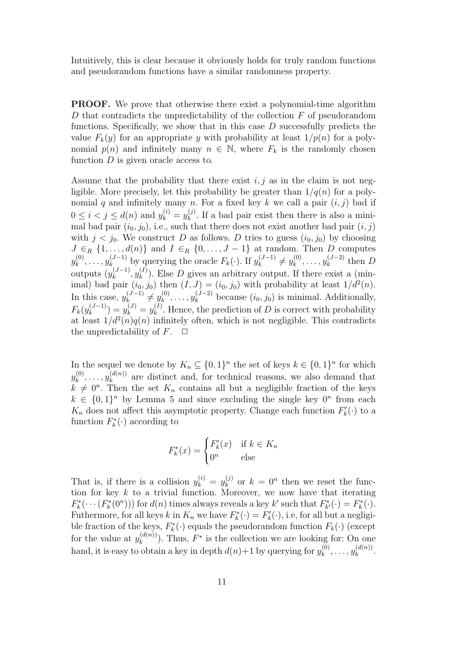Intuitively, this is clear because it obviously holds for truly random functions and pseudorandom functions have a similar randomness property.

PROOF. We prove that otherwise there exist a polynomial-time algorithm D that contradicts the unpredictability of the collection  $F$  of pseudorandom functions. Specifically, we show that in this case  $D$  successfully predicts the value  $F_k(y)$  for an appropriate y with probability at least  $1/p(n)$  for a polynomial  $p(n)$  and infinitely many  $n \in \mathbb{N}$ , where  $F_k$  is the randomly chosen function  $D$  is given oracle access to.

Assume that the probability that there exist  $i, j$  as in the claim is not negligible. More precisely, let this probability be greater than  $1/q(n)$  for a polynomial q and infinitely many n. For a fixed key k we call a pair  $(i, j)$  bad if  $0 \le i < j \le d(n)$  and  $y_k^{(i)} = y_k^{(j)}$  $\kappa_k^{(3)}$ . If a bad pair exist then there is also a minimal bad pair  $(i_0, j_0)$ , i.e., such that there does not exist another bad pair  $(i, j)$ with  $j < j_0$ . We construct D as follows. D tries to guess  $(i_0, j_0)$  by choosing  $J \in_R \{1, \ldots, d(n)\}\$ and  $I \in_R \{0, \ldots, J-1\}$  at random. Then D computes  $y_k^{(0)}$  $x_k^{(0)}, \ldots, y_k^{(J-1)}$  by querying the oracle  $F_k(\cdot)$ . If  $y_k^{(J-1)}$  $y_k^{(J-1)} \neq y_k^{(0)}$  $y_k^{(0)}, \ldots, y_k^{(J-2)}$  $\mu_k^{(J-2)}$  then D outputs  $(y_k^{(J-1)})$  $y_k^{(J-1)}, y_k^{(I)}$  $\binom{N}{k}$ ). Else D gives an arbitrary output. If there exist a (minimal) bad pair  $(i_0, j_0)$  then  $(I, J) = (i_0, j_0)$  with probability at least  $1/d^2(n)$ . In this case,  $y_k^{(J-1)}$  $y_k^{(J-1)} \neq y_k^{(0)}$  $x_k^{(0)}, \ldots, y_k^{(J-2)}$  because  $(i_0, j_0)$  is minimal. Additionally,  $F_k(y_k^{(J-1)}$  $y_k^{(J-1)}$ ) =  $y_k^{(J)} = y_k^{(I)}$  $\kappa^{(1)}$ . Hence, the prediction of D is correct with probability at least  $1/d^2(n)q(n)$  infinitely often, which is not negligible. This contradicts the unpredictability of  $F$ .  $\Box$ 

In the sequel we denote by  $K_n \subseteq \{0,1\}^n$  the set of keys  $k \in \{0,1\}^n$  for which  $y_k^{(0)}$  $y_k^{(0)}, \ldots, y_k^{(d(n))}$  $\kappa_k^{(a(n))}$  are distinct and, for technical reasons, we also demand that  $k \neq 0^n$ . Then the set  $K_n$  contains all but a negligible fraction of the keys  $k \in \{0,1\}^n$  by Lemma 5 and since excluding the single key  $0^n$  from each  $K_n$  does not affect this asymptotic property. Change each function  $F'_k$  $\zeta_k'(\cdot)$  to a function  $F_k^*$  $\mathcal{C}_k^*(\cdot)$  according to

$$
F_k^*(x) = \begin{cases} F_k'(x) & \text{if } k \in K_n \\ 0^n & \text{else} \end{cases}
$$

That is, if there is a collision  $y_k^{(i)} = y_k^{(j)}$  $k_k^{(j)}$  or  $k = 0^n$  then we reset the function for key  $k$  to a trivial function. Moreover, we now have that iterating  $F_k^*$  $\binom{r}{k}$   $\cdots$   $\binom{F_k^*}{k}$  $k^*(0^n))$  for  $d(n)$  times always reveals a key  $k'$  such that  $F_k^*$  $T^*_{k'}(\cdot) = F^*_k$  $\mathbf{R}^{*}(\cdot).$ Futhermore, for all keys k in  $K_n$  we have  $F_k^*$  $F_k^*(\cdot) = F_k'$  $\mathbf{z}'_k(\cdot)$ , i.e, for all but a negligible fraction of the keys,  $F_k^*$  $k(k)$  equals the pseudorandom function  $F_k(\cdot)$  (except for the value at  $y_k^{(d(n))}$  $(k^{(d(n))})$ . Thus,  $F^*$  is the collection we are looking for: On one hand, it is easy to obtain a key in depth  $d(n)+1$  by querying for  $y_k^{(0)}$  $y_k^{(0)},\ldots,y_k^{(d(n))}$  $k^{(a(n))}$ .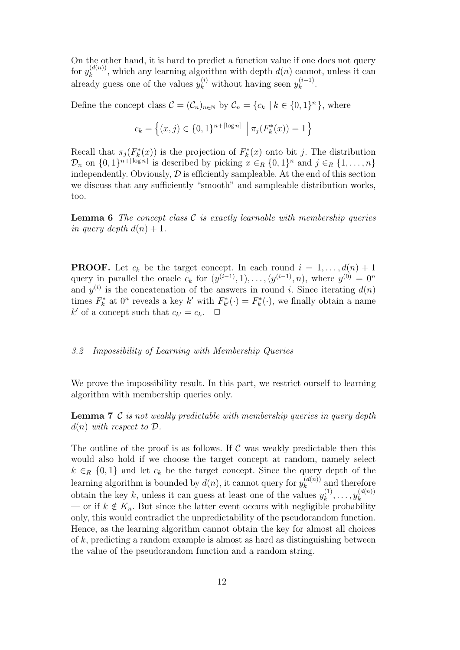On the other hand, it is hard to predict a function value if one does not query for  $y_k^{(d(n))}$  $\kappa_k^{(a(n))}$ , which any learning algorithm with depth  $d(n)$  cannot, unless it can already guess one of the values  $y_k^{(i)}$  without having seen  $y_k^{(i-1)}$  $k^{(i-1)}$ .

Define the concept class  $\mathcal{C} = (\mathcal{C}_n)_{n \in \mathbb{N}}$  by  $\mathcal{C}_n = \{c_k \mid k \in \{0, 1\}^n\}$ , where

$$
c_k = \left\{ (x, j) \in \{0, 1\}^{n + \lceil \log n \rceil} \mid \pi_j(F_k^*(x)) = 1 \right\}
$$

Recall that  $\pi_j(F_k^*)$  $F_k^*(x)$  is the projection of  $F_k^*$  $\chi_k^*(x)$  onto bit j. The distribution  $\mathcal{D}_n$  on  $\{0,1\}^{n+\lceil \log n \rceil}$  is described by picking  $x \in_R \{0,1\}^n$  and  $j \in_R \{1,\ldots,n\}$ independently. Obviously,  $\mathcal D$  is efficiently sampleable. At the end of this section we discuss that any sufficiently "smooth" and sampleable distribution works, too.

**Lemma 6** The concept class  $\mathcal C$  is exactly learnable with membership queries in query depth  $d(n) + 1$ .

**PROOF.** Let  $c_k$  be the target concept. In each round  $i = 1, \ldots, d(n) + 1$ query in parallel the oracle  $c_k$  for  $(y^{(i-1)}, 1), \ldots, (y^{(i-1)}, n)$ , where  $y^{(0)} = 0^n$ and  $y^{(i)}$  is the concatenation of the answers in round *i*. Since iterating  $d(n)$ times  $F_k^*$  $k^*$  at  $0^n$  reveals a key k' with  $F_k^*$  $F_{k'}^*(\cdot) = F_k^*$  $\mathcal{L}_k^*(\cdot)$ , we finally obtain a name  $k'$  of a concept such that  $c_{k'} = c_k$ .  $\Box$ 

#### 3.2 Impossibility of Learning with Membership Queries

We prove the impossibility result. In this part, we restrict ourself to learning algorithm with membership queries only.

**Lemma 7** C is not weakly predictable with membership queries in query depth  $d(n)$  with respect to  $\mathcal{D}$ .

The outline of the proof is as follows. If  $\mathcal C$  was weakly predictable then this would also hold if we choose the target concept at random, namely select  $k \in_R \{0,1\}$  and let  $c_k$  be the target concept. Since the query depth of the learning algorithm is bounded by  $d(n)$ , it cannot query for  $y_k^{(d(n))}$  $\kappa^{(a(n))}_{k}$  and therefore obtain the key k, unless it can guess at least one of the values  $y_k^{(1)}$  $y_k^{(1)},\ldots,y_k^{(d(n))}$ k — or if  $k \notin K_n$ . But since the latter event occurs with negligible probability only, this would contradict the unpredictability of the pseudorandom function. Hence, as the learning algorithm cannot obtain the key for almost all choices of k, predicting a random example is almost as hard as distinguishing between the value of the pseudorandom function and a random string.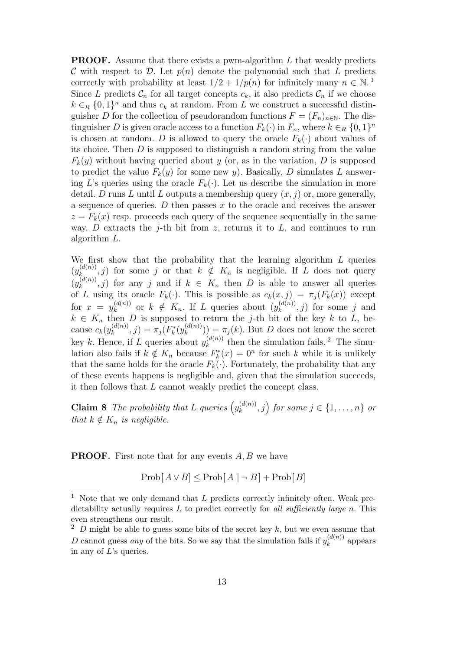**PROOF.** Assume that there exists a pwm-algorithm L that weakly predicts C with respect to D. Let  $p(n)$  denote the polynomial such that L predicts correctly with probability at least  $1/2 + 1/p(n)$  for infinitely many  $n \in \mathbb{N}$ . Since L predicts  $\mathcal{C}_n$  for all target concepts  $c_k$ , it also predicts  $\mathcal{C}_n$  if we choose  $k \in_R \{0,1\}^n$  and thus  $c_k$  at random. From L we construct a successful distinguisher D for the collection of pseudorandom functions  $F = (F_n)_{n \in \mathbb{N}}$ . The distinguisher D is given oracle access to a function  $F_k(\cdot)$  in  $F_n$ , where  $k \in_R \{0,1\}^n$ is chosen at random. D is allowed to query the oracle  $F_k(\cdot)$  about values of its choice. Then D is supposed to distinguish a random string from the value  $F_k(y)$  without having queried about y (or, as in the variation, D is supposed to predict the value  $F_k(y)$  for some new y). Basically, D simulates L answering L's queries using the oracle  $F_k(\cdot)$ . Let us describe the simulation in more detail. D runs L until L outputs a membership query  $(x, j)$  or, more generally, a sequence of queries.  $D$  then passes  $x$  to the oracle and receives the answer  $z = F_k(x)$  resp. proceeds each query of the sequence sequentially in the same way. D extracts the j-th bit from z, returns it to  $L$ , and continues to run algorithm L.

We first show that the probability that the learning algorithm  $L$  queries  $(y_k^{(d(n))})$  $(k^{(d(n))}_{k}, j)$  for some j or that  $k \notin K_n$  is negligible. If L does not query  $(y_k^{(d(n))})$  $(k^{(d(n))}, j)$  for any j and if  $k \in K_n$  then D is able to answer all queries of L using its oracle  $F_k(\cdot)$ . This is possible as  $c_k(x, j) = \pi_j(F_k(x))$  except for  $x = y_k^{(d(n))}$  $(k \neq k)$  or  $k \notin K_n$ . If L queries about  $(y_k^{(d(n))})$  $\mathbf{R}_k^{(a(n))},j$  for some j and  $k \in K_n$  then D is supposed to return the j-th bit of the key k to L, because  $c_k(y_k^{(d(n))})$  $\bar{\pi}_{k}^{(d(n))},j)=\bar{\pi_{j}}(F_{k}^{*}% -\bar{F}_{k}^{*})\in\mathcal{F}_{k}^{k}$  $\mathcal{C}^{*}_k(y^{(d(n))}_k)$  $(\binom{(a(n))}{k})$  =  $\pi_j(k)$ . But D does not know the secret key k. Hence, if L queries about  $y_k^{(d(n))}$  $\kappa_k^{(d(n))}$  then the simulation fails.<sup>2</sup> The simulation also fails if  $k \notin K_n$  because  $F_k^*$  $k<sup>*</sup>(x) = 0<sup>n</sup>$  for such k while it is unlikely that the same holds for the oracle  $F_k(\cdot)$ . Fortunately, the probability that any of these events happens is negligible and, given that the simulation succeeds, it then follows that L cannot weakly predict the concept class.

**Claim 8** The probability that L queries  $(y_k^{(d(n))})$  $\left( \begin{smallmatrix} \n(a(n)) \ \n\end{smallmatrix} \right)$  for some  $j \in \{1, \ldots, n\}$  or that  $k \notin K_n$  is negligible.

**PROOF.** First note that for any events A, B we have

$$
Prob[A \vee B] \le Prob[A | \neg B] + Prob[B]
$$

<sup>&</sup>lt;sup>1</sup> Note that we only demand that  $L$  predicts correctly infinitely often. Weak predictability actually requires  $L$  to predict correctly for all sufficiently large n. This even strengthens our result.

<sup>&</sup>lt;sup>2</sup> D might be able to guess some bits of the secret key  $k$ , but we even assume that D cannot guess any of the bits. So we say that the simulation fails if  $y_k^{(d(n))}$  $\eta_k^{(a(n))}$  appears in any of  $L$ 's queries.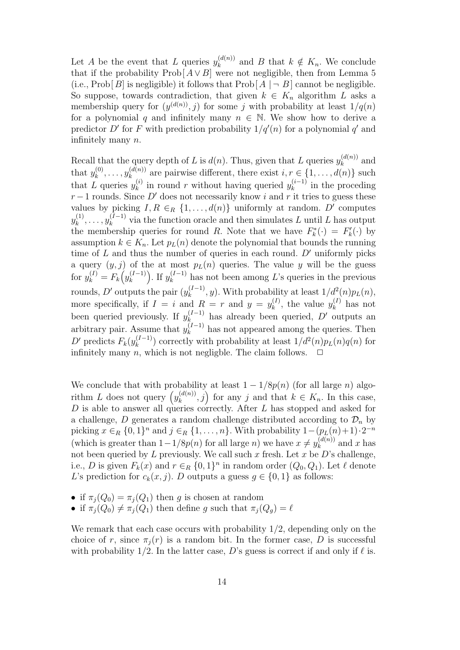Let A be the event that L queries  $y_k^{(d(n))}$  $\kappa_k^{(d(n))}$  and B that  $k \notin K_n$ . We conclude that if the probability Prob $[A \vee B]$  were not negligible, then from Lemma 5 (i.e., Prob[B] is negligible) it follows that  $\text{Prob}[A \mid \neg B]$  cannot be negligible. So suppose, towards contradiction, that given  $k \in K_n$  algorithm L asks a membership query for  $(y^{(d(n))}, j)$  for some j with probability at least  $1/q(n)$ for a polynomial q and infinitely many  $n \in \mathbb{N}$ . We show how to derive a predictor D' for F with prediction probability  $1/q'(n)$  for a polynomial q' and infinitely many  $n$ .

Recall that the query depth of L is  $d(n)$ . Thus, given that L queries  $y_k^{(d(n))}$  $k^{(a(n))}$  and that  $y_k^{(0)}$  $y_k^{(0)},\ldots,y_k^{(d(n))}$  $\mathbf{R}_{k}^{(d(n))}$  are pairwise different, there exist  $i, r \in \{1, \ldots, d(n)\}$  such that L queries  $y_k^{(i)}$  $\mathbf{y}_k^{(i)}$  in round r without having queried  $y_k^{(i-1)}$  $\kappa^{(i-1)}$  in the proceding  $r-1$  rounds. Since D' does not necessarily know i and r it tries to guess these values by picking  $I, R \in_R \{1, \ldots, d(n)\}\$  uniformly at random. D' computes  $y_k^{(1)}$  $x_k^{(1)}, \ldots, y_k^{(I-1)}$  via the function oracle and then simulates L until L has output the membership queries for round R. Note that we have  $F_k^*$  $F_k^*(\cdot) = F_k'$  $\chi'_k(\cdot)$  by assumption  $k \in K_n$ . Let  $p_L(n)$  denote the polynomial that bounds the running time of L and thus the number of queries in each round.  $D'$  uniformly picks a query  $(y, j)$  of the at most  $p_L(n)$  queries. The value y will be the guess for  $y_k^{(I)} = F_k(y_k^{(I-1)})$  $\binom{(I-1)}{k}$ . If  $y_k^{(I-1)}$  has not been among L's queries in the previous rounds, D' outputs the pair  $(y_k^{(I-1)})$  $k^{(I-1)}$ , y). With probability at least  $1/d^2(n)p_L(n)$ , more specifically, if  $I = i$  and  $R = r$  and  $y = y_k^{(I)}$  $y_k^{(I)}$ , the value  $y_k^{(I)}$  has not been queried previously. If  $y_k^{(I-1)}$  has already been queried, D' outputs an arbitrary pair. Assume that  $y_k^{(I-1)}$  has not appeared among the queries. Then D' predicts  $F_k(y_k^{(I-1)})$  $(k^{(I-1)}_{k})$  correctly with probability at least  $1/d^2(n)p_L(n)q(n)$  for infinitely many n, which is not negligble. The claim follows.  $\Box$ 

We conclude that with probability at least  $1 - 1/8p(n)$  (for all large n) algorithm L does not query  $\left(y_k^{(d(n))}\right)$  $(k_k^{(d(n))}, j)$  for any j and that  $k \in K_n$ . In this case,  $D$  is able to answer all queries correctly. After  $L$  has stopped and asked for a challenge, D generates a random challenge distributed according to  $\mathcal{D}_n$  by picking  $x \in_R \{0,1\}^n$  and  $j \in_R \{1,\ldots,n\}$ . With probability  $1-(p_L(n)+1)\cdot 2^{-n}$ (which is greater than  $1-1/8p(n)$  for all large n) we have  $x \neq y_k^{(d(n))}$  $\kappa_k^{(a(n))}$  and x has not been queried by  $L$  previously. We call such  $x$  fresh. Let  $x$  be  $D$ 's challenge, i.e., D is given  $F_k(x)$  and  $r \in_R \{0,1\}^n$  in random order  $(Q_0, Q_1)$ . Let  $\ell$  denote L's prediction for  $c_k(x, j)$ . D outputs a guess  $g \in \{0, 1\}$  as follows:

- if  $\pi_i(Q_0) = \pi_i(Q_1)$  then g is chosen at random
- if  $\pi_j(Q_0) \neq \pi_j(Q_1)$  then define g such that  $\pi_j(Q_q) = \ell$

We remark that each case occurs with probability  $1/2$ , depending only on the choice of r, since  $\pi_i(r)$  is a random bit. In the former case, D is successful with probability 1/2. In the latter case, D's guess is correct if and only if  $\ell$  is.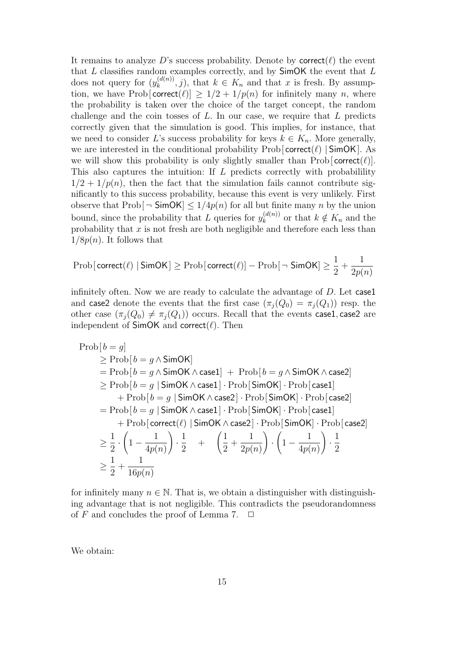It remains to analyze D's success probability. Denote by correct( $\ell$ ) the event that  $L$  classifies random examples correctly, and by  $SimOK$  the event that  $L$ does not query for  $(y_k^{(d(n))})$  $(k^{(d(n))}, j)$ , that  $k \in K_n$  and that x is fresh. By assumption, we have  $\text{Prob}[\text{correct}(\ell)] \geq 1/2 + 1/p(n)$  for infinitely many n, where the probability is taken over the choice of the target concept, the random challenge and the coin tosses of  $L$ . In our case, we require that  $L$  predicts correctly given that the simulation is good. This implies, for instance, that we need to consider L's success probability for keys  $k \in K_n$ . More generally, we are interested in the conditional probability  $Prob[correct(\ell) | SimOK]$ . As we will show this probability is only slightly smaller than  $Prob[correct(\ell)]$ . This also captures the intuition: If L predicts correctly with probabilility  $1/2 + 1/p(n)$ , then the fact that the simulation fails cannot contribute significantly to this success probability, because this event is very unlikely. First observe that  $\text{Prob}[\neg \text{SimOK}] \leq 1/4p(n)$  for all but finite many n by the union bound, since the probability that L queries for  $y_k^{(d(n))}$  $\mathbf{K}_k^{(d(n))}$  or that  $k \notin K_n$  and the probability that  $x$  is not fresh are both negligible and therefore each less than  $1/8p(n)$ . It follows that

$$
\mathrm{Prob}\big[\, \mathsf{correct}(\ell) \mid \mathsf{SimOK}\,] \ge \mathrm{Prob}\big[\, \mathsf{correct}(\ell) \big] - \mathrm{Prob}\big[\neg \, \mathsf{SimOK}\,] \ge \frac{1}{2} + \frac{1}{2p(n)}
$$

infinitely often. Now we are ready to calculate the advantage of  $D$ . Let case1 and case2 denote the events that the first case  $(\pi_i(Q_0) = \pi_i(Q_1))$  resp. the other case  $(\pi_i(Q_0) \neq \pi_i(Q_1))$  occurs. Recall that the events case1, case2 are independent of  $SimOK$  and correct $(\ell)$ . Then

$$
\begin{aligned} \text{Prob}[b = g] &\geq \text{Prob}[b = g \land \text{SimOK}] \\ &= \text{Prob}[b = g \land \text{SimOK} \land \text{case1}] \ + \text{Prob}[b = g \land \text{SimOK} \land \text{case2}] \\ &\geq \text{Prob}[b = g \mid \text{SimOK} \land \text{case1}] \cdot \text{Prob}[\text{SimOK}] \cdot \text{Prob}[\text{case1}] \\ &+ \text{Prob}[b = g \mid \text{SimOK} \land \text{case2}] \cdot \text{Prob}[\text{SimOK}] \cdot \text{Prob}[\text{case2}] \\ &= \text{Prob}[b = g \mid \text{SimOK} \land \text{case1}] \cdot \text{Prob}[\text{SimOK}] \cdot \text{Prob}[\text{case1}] \\ &+ \text{Prob}[\text{correct}(\ell) \mid \text{SimOK} \land \text{case2}] \cdot \text{Prob}[\text{SimOK}] \cdot \text{Prob}[\text{case2}] \\ &\geq \frac{1}{2} \cdot \left(1 - \frac{1}{4p(n)}\right) \cdot \frac{1}{2} \quad + \quad \left(\frac{1}{2} + \frac{1}{2p(n)}\right) \cdot \left(1 - \frac{1}{4p(n)}\right) \cdot \frac{1}{2} \\ &\geq \frac{1}{2} + \frac{1}{16p(n)} \end{aligned}
$$

for infinitely many  $n \in \mathbb{N}$ . That is, we obtain a distinguisher with distinguishing advantage that is not negligible. This contradicts the pseudorandomness of F and concludes the proof of Lemma 7.  $\Box$ 

We obtain: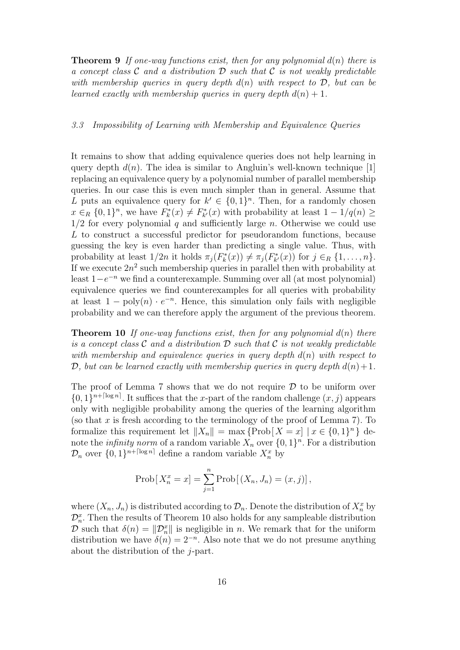**Theorem 9** If one-way functions exist, then for any polynomial  $d(n)$  there is a concept class  $\mathcal C$  and a distribution  $\mathcal D$  such that  $\mathcal C$  is not weakly predictable with membership queries in query depth  $d(n)$  with respect to  $\mathcal{D}$ , but can be learned exactly with membership queries in query depth  $d(n) + 1$ .

#### 3.3 Impossibility of Learning with Membership and Equivalence Queries

It remains to show that adding equivalence queries does not help learning in query depth  $d(n)$ . The idea is similar to Angluin's well-known technique [1] replacing an equivalence query by a polynomial number of parallel membership queries. In our case this is even much simpler than in general. Assume that L puts an equivalence query for  $k' \in \{0,1\}^n$ . Then, for a randomly chosen  $x \in_R \{0,1\}^n$ , we have  $F_k^*$  $\bar{f}_k^*(x) \neq F_k^*$  $\lim_{k'}^*(x)$  with probability at least  $1 - 1/q(n) \ge$  $1/2$  for every polynomial q and sufficiently large n. Otherwise we could use L to construct a successful predictor for pseudorandom functions, because guessing the key is even harder than predicting a single value. Thus, with probability at least  $1/2n$  it holds  $\pi_j(F_k^*)$  $f_k^*(x)$   $\neq \pi_j(F_k^*)$  $f_{k'}^*(x)$  for  $j \in_R \{1, \ldots, n\}.$ If we execute  $2n^2$  such membership queries in parallel then with probability at least  $1-e^{-n}$  we find a counterexample. Summing over all (at most polynomial) equivalence queries we find counterexamples for all queries with probability at least  $1 - \text{poly}(n) \cdot e^{-n}$ . Hence, this simulation only fails with negligible probability and we can therefore apply the argument of the previous theorem.

**Theorem 10** If one-way functions exist, then for any polynomial  $d(n)$  there is a concept class  $\mathcal C$  and a distribution  $\mathcal D$  such that  $\mathcal C$  is not weakly predictable with membership and equivalence queries in query depth  $d(n)$  with respect to D, but can be learned exactly with membership queries in query depth  $d(n)+1$ .

The proof of Lemma 7 shows that we do not require  $\mathcal D$  to be uniform over  ${0,1}^{\lfloor n+\lceil \log n \rceil}$ . It suffices that the x-part of the random challenge  $(x, j)$  appears only with negligible probability among the queries of the learning algorithm (so that x is fresh according to the terminology of the proof of Lemma 7). To formalize this requirement let  $||X_n|| = \max \{ \text{Prob}[X = x] \mid x \in \{0, 1\}^n \}$  denote the *infinity norm* of a random variable  $X_n$  over  $\{0,1\}^n$ . For a distribution  $\mathcal{D}_n$  over  $\{0,1\}^{n+\lceil \log n \rceil}$  define a random variable  $X_n^x$  by

Prob[
$$
X_n^x = x
$$
] =  $\sum_{j=1}^n$ Prob[ $(X_n, J_n) = (x, j)$ ],

where  $(X_n, J_n)$  is distributed according to  $\mathcal{D}_n$ . Denote the distribution of  $X_n^x$  by  $\mathcal{D}_n^x$ . Then the results of Theorem 10 also holds for any sampleable distribution  $\overline{\mathcal{D}}$  such that  $\delta(n) = ||\mathcal{D}_n^x||$  is negligible in n. We remark that for the uniform distribution we have  $\delta(n) = 2^{-n}$ . Also note that we do not presume anything about the distribution of the j-part.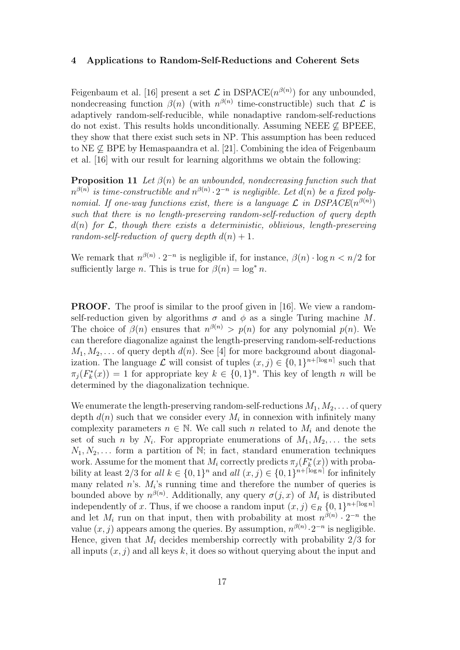#### 4 Applications to Random-Self-Reductions and Coherent Sets

Feigenbaum et al. [16] present a set  $\mathcal L$  in DSPACE( $n^{\beta(n)}$ ) for any unbounded, nondecreasing function  $\beta(n)$  (with  $n^{\beta(n)}$  time-constructible) such that  $\mathcal L$  is adaptively random-self-reducible, while nonadaptive random-self-reductions do not exist. This results holds unconditionally. Assuming NEEE  $\varphi$  BPEEE, they show that there exist such sets in NP. This assumption has been reduced to NE  $\varphi$  BPE by Hemaspaandra et al. [21]. Combining the idea of Feigenbaum et al. [16] with our result for learning algorithms we obtain the following:

**Proposition 11** Let  $\beta(n)$  be an unbounded, nondecreasing function such that  $n^{\beta(n)}$  is time-constructible and  $n^{\beta(n)} \cdot 2^{-n}$  is negligible. Let  $d(n)$  be a fixed polynomial. If one-way functions exist, there is a language  $\mathcal L$  in DSPACE( $n^{\beta(n)}$ ) such that there is no length-preserving random-self-reduction of query depth  $d(n)$  for  $\mathcal L$ , though there exists a deterministic, oblivious, length-preserving random-self-reduction of query depth  $d(n) + 1$ .

We remark that  $n^{\beta(n)} \cdot 2^{-n}$  is negligible if, for instance,  $\beta(n) \cdot \log n < n/2$  for sufficiently large *n*. This is true for  $\beta(n) = \log^* n$ .

**PROOF.** The proof is similar to the proof given in [16]. We view a randomself-reduction given by algorithms  $\sigma$  and  $\phi$  as a single Turing machine M. The choice of  $\beta(n)$  ensures that  $n^{\beta(n)} > p(n)$  for any polynomial  $p(n)$ . We can therefore diagonalize against the length-preserving random-self-reductions  $M_1, M_2, \ldots$  of query depth  $d(n)$ . See [4] for more background about diagonalization. The language  $\mathcal L$  will consist of tuples  $(x, j) \in \{0, 1\}^{n + \lceil \log n \rceil}$  such that  $\pi_j(F_k^*$  $k(k)$  = 1 for appropriate key  $k \in \{0,1\}^n$ . This key of length n will be determined by the diagonalization technique.

We enumerate the length-preserving random-self-reductions  $M_1, M_2, \ldots$  of query depth  $d(n)$  such that we consider every  $M_i$  in connexion with infinitely many complexity parameters  $n \in \mathbb{N}$ . We call such n related to  $M_i$  and denote the set of such *n* by  $N_i$ . For appropriate enumerations of  $M_1, M_2, \ldots$  the sets  $N_1, N_2, \ldots$  form a partition of N; in fact, standard enumeration techniques work. Assume for the moment that  $M_i$  correctly predicts  $\pi_j(F_k^*)$  $\binom{n}{k}(x)$  with probability at least 2/3 for all  $k \in \{0,1\}^n$  and all  $(x, j) \in \{0,1\}^{n + \lceil \log n \rceil}$  for infinitely many related  $n$ 's.  $M_i$ 's running time and therefore the number of queries is bounded above by  $n^{\beta(n)}$ . Additionally, any query  $\sigma(j, x)$  of  $M_i$  is distributed independently of x. Thus, if we choose a random input  $(x, j) \in_R \{0, 1\}^{n + \lceil \log n \rceil}$ and let  $M_i$  run on that input, then with probability at most  $n^{\hat{\beta}(n)} \cdot 2^{-n}$  the value  $(x, j)$  appears among the queries. By assumption,  $n^{\beta(n)} \cdot 2^{-n}$  is negligible. Hence, given that  $M_i$  decides membership correctly with probability  $2/3$  for all inputs  $(x, j)$  and all keys k, it does so without querying about the input and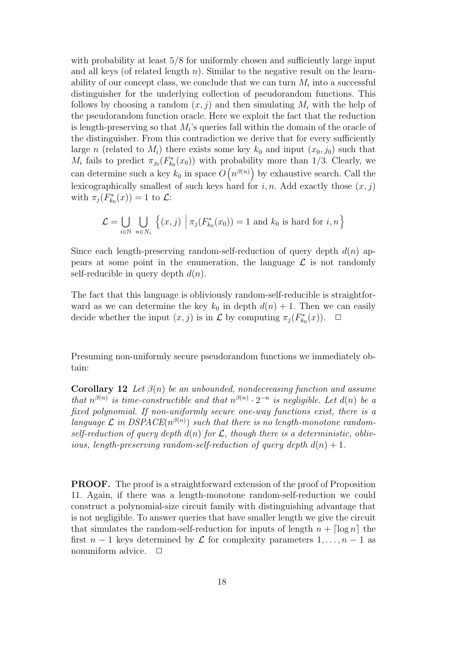with probability at least  $5/8$  for uniformly chosen and sufficiently large input and all keys (of related length  $n$ ). Similar to the negative result on the learnability of our concept class, we conclude that we can turn  $M_i$  into a successful distinguisher for the underlying collection of pseudorandom functions. This follows by choosing a random  $(x, j)$  and then simulating  $M_i$  with the help of the pseudorandom function oracle. Here we exploit the fact that the reduction is length-preserving so that  $M_i$ 's queries fall within the domain of the oracle of the distinguisher. From this contradiction we derive that for every sufficiently large n (related to  $M_i$ ) there exists some key  $k_0$  and input  $(x_0, j_0)$  such that  $M_i$  fails to predict  $\pi_{j_0}(F_{k_0}^*)$  $k_0(x_0)$  with probability more than 1/3. Clearly, we can determine such a key  $k_0$  in space  $O(n^{\beta(n)})$  by exhaustive search. Call the lexicographically smallest of such keys hard for i, n. Add exactly those  $(x, j)$ with  $\pi_j(F_{k_0}^*$  $k_0^*(x)$  = 1 to  $\mathcal{L}$ :

$$
\mathcal{L} = \bigcup_{i \in \mathbb{N}} \bigcup_{n \in N_i} \left\{ (x, j) \mid \pi_j(F_{k_0}^*(x_0)) = 1 \text{ and } k_0 \text{ is hard for } i, n \right\}
$$

Since each length-preserving random-self-reduction of query depth  $d(n)$  appears at some point in the enumeration, the language  $\mathcal L$  is not randomly self-reducible in query depth  $d(n)$ .

The fact that this language is obliviously random-self-reducible is straightforward as we can determine the key  $k_0$  in depth  $d(n) + 1$ . Then we can easily decide whether the input  $(x, j)$  is in  $\mathcal L$  by computing  $\pi_j(F_k^*)$  $\binom{m}{k_0}(x)$ .  $\Box$ 

Presuming non-uniformly secure pseudorandom functions we immediately obtain:

Corollary 12 Let  $\beta(n)$  be an unbounded, nondecreasing function and assume that  $n^{\beta(n)}$  is time-constructible and that  $n^{\beta(n)} \cdot 2^{-n}$  is negligible. Let  $d(n)$  be a fixed polynomial. If non-uniformly secure one-way functions exist, there is a language  $\mathcal L$  in DSPACE( $n^{\beta(n)}$ ) such that there is no length-monotone randomself-reduction of query depth  $d(n)$  for  $\mathcal L$ , though there is a deterministic, oblivious, length-preserving random-self-reduction of query depth  $d(n) + 1$ .

**PROOF.** The proof is a straightforward extension of the proof of Proposition 11. Again, if there was a length-monotone random-self-reduction we could construct a polynomial-size circuit family with distinguishing advantage that is not negligible. To answer queries that have smaller length we give the circuit that simulates the random-self-reduction for inputs of length  $n + \lceil \log n \rceil$  the first  $n-1$  keys determined by  $\mathcal L$  for complexity parameters  $1,\ldots,n-1$  as nonuniform advice.  $\Box$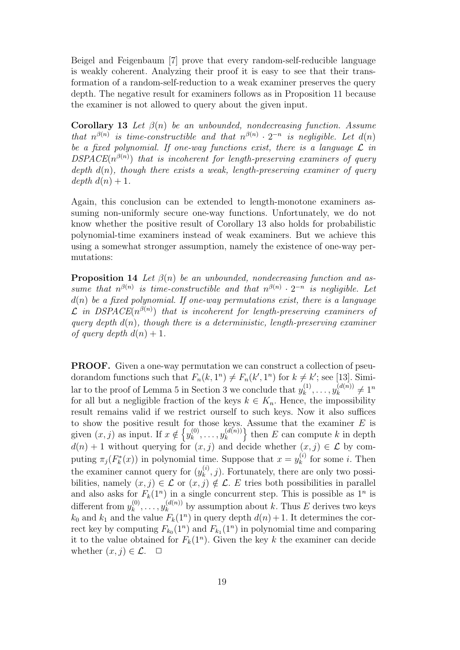Beigel and Feigenbaum [7] prove that every random-self-reducible language is weakly coherent. Analyzing their proof it is easy to see that their transformation of a random-self-reduction to a weak examiner preserves the query depth. The negative result for examiners follows as in Proposition 11 because the examiner is not allowed to query about the given input.

Corollary 13 Let  $\beta(n)$  be an unbounded, nondecreasing function. Assume that  $n^{\beta(n)}$  is time-constructible and that  $n^{\beta(n)} \cdot 2^{-n}$  is negligible. Let  $d(n)$ be a fixed polynomial. If one-way functions exist, there is a language  $\mathcal L$  in  $DSPACE(n^{\beta(n)})$  that is incoherent for length-preserving examiners of query depth  $d(n)$ , though there exists a weak, length-preserving examiner of query depth  $d(n) + 1$ .

Again, this conclusion can be extended to length-monotone examiners assuming non-uniformly secure one-way functions. Unfortunately, we do not know whether the positive result of Corollary 13 also holds for probabilistic polynomial-time examiners instead of weak examiners. But we achieve this using a somewhat stronger assumption, namely the existence of one-way permutations:

**Proposition 14** Let  $\beta(n)$  be an unbounded, nondecreasing function and assume that  $n^{\beta(n)}$  is time-constructible and that  $n^{\beta(n)} \cdot 2^{-n}$  is negligible. Let  $d(n)$  be a fixed polynomial. If one-way permutations exist, there is a language  $\mathcal{L}$  in DSPACE( $n^{\beta(n)}$ ) that is incoherent for length-preserving examiners of query depth  $d(n)$ , though there is a deterministic, length-preserving examiner of query depth  $d(n) + 1$ .

PROOF. Given a one-way permutation we can construct a collection of pseudorandom functions such that  $F_n(k, 1^n) \neq F_n(k', 1^n)$  for  $k \neq k'$ ; see [13]. Similar to the proof of Lemma 5 in Section 3 we conclude that  $y_k^{(1)}$  $y_k^{(1)},\ldots,y_k^{(d(n))}$  $a_k^{(d(n))} \neq 1^n$ for all but a negligible fraction of the keys  $k \in K_n$ . Hence, the impossibility result remains valid if we restrict ourself to such keys. Now it also suffices to show the positive result for those keys. Assume that the examiner  $E$  is given  $(x, j)$  as input. If  $x \notin \{y_k^{(0)}\}$  $y_k^{(0)},\ldots,y_k^{(d(n))}$  $\mathbf{E}_{k}^{(d(n))}$  then E can compute k in depth  $d(n) + 1$  without querying for  $(x, j)$  and decide whether  $(x, j) \in \mathcal{L}$  by computing  $\pi_j(F_k^*)$  $k(k(x))$  in polynomial time. Suppose that  $x = y_k^{(i)}$  $k^{(i)}$  for some *i*. Then the examiner cannot query for  $(y_k^{(i)})$  $\mathbf{k}^{(i)}$ , j). Fortunately, there are only two possibilities, namely  $(x, j) \in \mathcal{L}$  or  $(x, j) \notin \mathcal{L}$ . E tries both possibilities in parallel and also asks for  $F_k(1^n)$  in a single concurrent step. This is possible as  $1^n$  is different from  $y_k^{(0)}$  $k_k^{(0)}, \ldots, y_k^{(d(n))}$  by assumption about k. Thus E derives two keys  $k_0$  and  $k_1$  and the value  $F_k(1^n)$  in query depth  $d(n) + 1$ . It determines the correct key by computing  $F_{k_0}(1^n)$  and  $F_{k_1}(1^n)$  in polynomial time and comparing it to the value obtained for  $F_k(1^n)$ . Given the key k the examiner can decide whether  $(x, j) \in \mathcal{L}$ .  $\Box$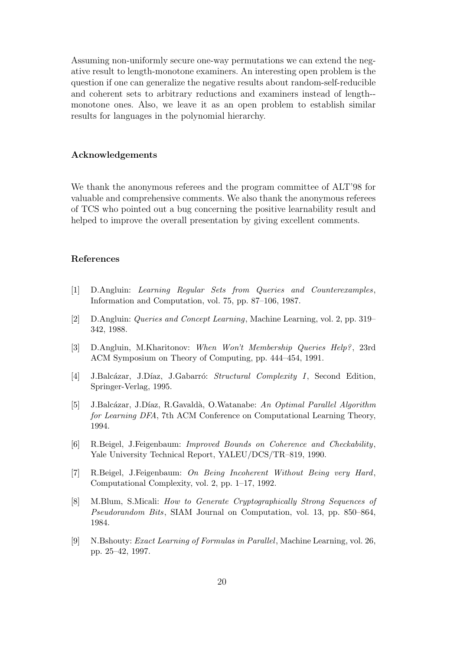Assuming non-uniformly secure one-way permutations we can extend the negative result to length-monotone examiners. An interesting open problem is the question if one can generalize the negative results about random-self-reducible and coherent sets to arbitrary reductions and examiners instead of length- monotone ones. Also, we leave it as an open problem to establish similar results for languages in the polynomial hierarchy.

## Acknowledgements

We thank the anonymous referees and the program committee of ALT'98 for valuable and comprehensive comments. We also thank the anonymous referees of TCS who pointed out a bug concerning the positive learnability result and helped to improve the overall presentation by giving excellent comments.

# References

- [1] D.Angluin: Learning Regular Sets from Queries and Counterexamples, Information and Computation, vol. 75, pp. 87–106, 1987.
- [2] D.Angluin: Queries and Concept Learning, Machine Learning, vol. 2, pp. 319– 342, 1988.
- [3] D.Angluin, M.Kharitonov: When Won't Membership Queries Help?, 23rd ACM Symposium on Theory of Computing, pp. 444–454, 1991.
- [4] J.Balcázar, J.Díaz, J.Gabarró: Structural Complexity I, Second Edition, Springer-Verlag, 1995.
- [5] J.Balcázar, J.Díaz, R.Gavaldà, O.Watanabe: An Optimal Parallel Algorithm for Learning DFA, 7th ACM Conference on Computational Learning Theory, 1994.
- [6] R.Beigel, J.Feigenbaum: Improved Bounds on Coherence and Checkability, Yale University Technical Report, YALEU/DCS/TR–819, 1990.
- [7] R.Beigel, J.Feigenbaum: On Being Incoherent Without Being very Hard, Computational Complexity, vol. 2, pp. 1–17, 1992.
- [8] M.Blum, S.Micali: How to Generate Cryptographically Strong Sequences of Pseudorandom Bits, SIAM Journal on Computation, vol. 13, pp. 850–864, 1984.
- [9] N.Bshouty: Exact Learning of Formulas in Parallel, Machine Learning, vol. 26, pp. 25–42, 1997.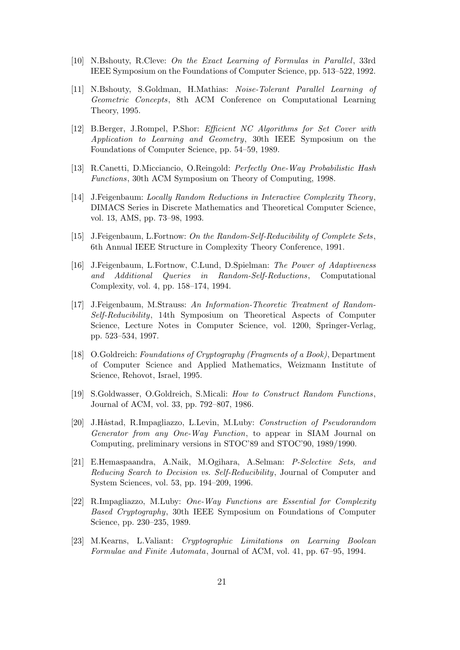- [10] N.Bshouty, R.Cleve: On the Exact Learning of Formulas in Parallel, 33rd IEEE Symposium on the Foundations of Computer Science, pp. 513–522, 1992.
- [11] N.Bshouty, S.Goldman, H.Mathias: Noise-Tolerant Parallel Learning of Geometric Concepts, 8th ACM Conference on Computational Learning Theory, 1995.
- [12] B.Berger, J.Rompel, P.Shor: Efficient NC Algorithms for Set Cover with Application to Learning and Geometry, 30th IEEE Symposium on the Foundations of Computer Science, pp. 54–59, 1989.
- [13] R.Canetti, D.Micciancio, O.Reingold: Perfectly One-Way Probabilistic Hash Functions, 30th ACM Symposium on Theory of Computing, 1998.
- [14] J.Feigenbaum: Locally Random Reductions in Interactive Complexity Theory, DIMACS Series in Discrete Mathematics and Theoretical Computer Science, vol. 13, AMS, pp. 73–98, 1993.
- [15] J.Feigenbaum, L.Fortnow: On the Random-Self-Reducibility of Complete Sets, 6th Annual IEEE Structure in Complexity Theory Conference, 1991.
- [16] J.Feigenbaum, L.Fortnow, C.Lund, D.Spielman: The Power of Adaptiveness and Additional Queries in Random-Self-Reductions, Computational Complexity, vol. 4, pp. 158–174, 1994.
- [17] J.Feigenbaum, M.Strauss: An Information-Theoretic Treatment of Random-Self-Reducibility, 14th Symposium on Theoretical Aspects of Computer Science, Lecture Notes in Computer Science, vol. 1200, Springer-Verlag, pp. 523–534, 1997.
- [18] O.Goldreich: Foundations of Cryptography (Fragments of a Book), Department of Computer Science and Applied Mathematics, Weizmann Institute of Science, Rehovot, Israel, 1995.
- [19] S.Goldwasser, O.Goldreich, S.Micali: How to Construct Random Functions, Journal of ACM, vol. 33, pp. 792–807, 1986.
- [20] J.Håstad, R.Impagliazzo, L.Levin, M.Luby: Construction of Pseudorandom Generator from any One-Way Function, to appear in SIAM Journal on Computing, preliminary versions in STOC'89 and STOC'90, 1989/1990.
- [21] E.Hemaspaandra, A.Naik, M.Ogihara, A.Selman: P-Selective Sets, and Reducing Search to Decision vs. Self-Reducibility, Journal of Computer and System Sciences, vol. 53, pp. 194–209, 1996.
- [22] R.Impagliazzo, M.Luby: One-Way Functions are Essential for Complexity Based Cryptography, 30th IEEE Symposium on Foundations of Computer Science, pp. 230–235, 1989.
- [23] M.Kearns, L.Valiant: Cryptographic Limitations on Learning Boolean Formulae and Finite Automata, Journal of ACM, vol. 41, pp. 67–95, 1994.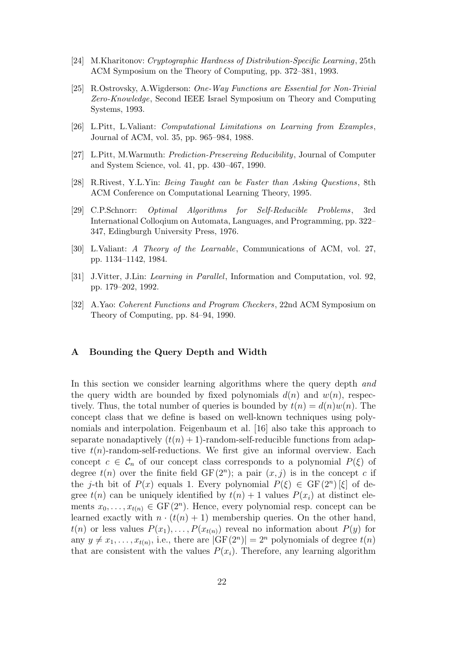- [24] M.Kharitonov: Cryptographic Hardness of Distribution-Specific Learning, 25th ACM Symposium on the Theory of Computing, pp. 372–381, 1993.
- [25] R.Ostrovsky, A.Wigderson: One-Way Functions are Essential for Non-Trivial Zero-Knowledge, Second IEEE Israel Symposium on Theory and Computing Systems, 1993.
- [26] L.Pitt, L.Valiant: Computational Limitations on Learning from Examples, Journal of ACM, vol. 35, pp. 965–984, 1988.
- [27] L.Pitt, M.Warmuth: Prediction-Preserving Reducibility, Journal of Computer and System Science, vol. 41, pp. 430–467, 1990.
- [28] R.Rivest, Y.L.Yin: Being Taught can be Faster than Asking Questions, 8th ACM Conference on Computational Learning Theory, 1995.
- [29] C.P.Schnorr: Optimal Algorithms for Self-Reducible Problems, 3rd International Colloqium on Automata, Languages, and Programming, pp. 322– 347, Edingburgh University Press, 1976.
- [30] L.Valiant: A Theory of the Learnable, Communications of ACM, vol. 27, pp. 1134–1142, 1984.
- [31] J.Vitter, J.Lin: Learning in Parallel, Information and Computation, vol. 92, pp. 179–202, 1992.
- [32] A.Yao: Coherent Functions and Program Checkers, 22nd ACM Symposium on Theory of Computing, pp. 84–94, 1990.

# A Bounding the Query Depth and Width

In this section we consider learning algorithms where the query depth and the query width are bounded by fixed polynomials  $d(n)$  and  $w(n)$ , respectively. Thus, the total number of queries is bounded by  $t(n) = d(n)w(n)$ . The concept class that we define is based on well-known techniques using polynomials and interpolation. Feigenbaum et al. [16] also take this approach to separate nonadaptively  $(t(n) + 1)$ -random-self-reducible functions from adaptive  $t(n)$ -random-self-reductions. We first give an informal overview. Each concept  $c \in \mathcal{C}_n$  of our concept class corresponds to a polynomial  $P(\xi)$  of degree  $t(n)$  over the finite field  $GF(2<sup>n</sup>)$ ; a pair  $(x, j)$  is in the concept c if the j-th bit of  $P(x)$  equals 1. Every polynomial  $P(\xi) \in GF(2^n) [\xi]$  of degree  $t(n)$  can be uniquely identified by  $t(n) + 1$  values  $P(x_i)$  at distinct elements  $x_0, \ldots, x_{t(n)} \in \mathrm{GF}(2^n)$ . Hence, every polynomial resp. concept can be learned exactly with  $n \cdot (t(n) + 1)$  membership queries. On the other hand,  $t(n)$  or less values  $P(x_1), \ldots, P(x_{t(n)})$  reveal no information about  $P(y)$  for any  $y \neq x_1, \ldots, x_{t(n)}$ , i.e., there are  $|GF(2^n)| = 2^n$  polynomials of degree  $t(n)$ that are consistent with the values  $P(x_i)$ . Therefore, any learning algorithm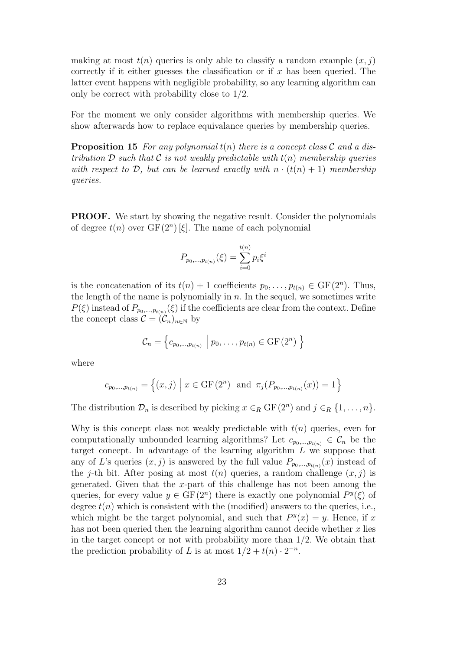making at most  $t(n)$  queries is only able to classify a random example  $(x, j)$ correctly if it either guesses the classification or if  $x$  has been queried. The latter event happens with negligible probability, so any learning algorithm can only be correct with probability close to 1/2.

For the moment we only consider algorithms with membership queries. We show afterwards how to replace equivalance queries by membership queries.

**Proposition 15** For any polynomial  $t(n)$  there is a concept class  $\mathcal C$  and a distribution  $\mathcal D$  such that  $\mathcal C$  is not weakly predictable with  $t(n)$  membership queries with respect to D, but can be learned exactly with  $n \cdot (t(n) + 1)$  membership queries.

PROOF. We start by showing the negative result. Consider the polynomials of degree  $t(n)$  over  $GF(2^n)$  [ $\xi$ ]. The name of each polynomial

$$
P_{p_0,\dots,p_{t(n)}}(\xi) = \sum_{i=0}^{t(n)} p_i \xi^i
$$

is the concatenation of its  $t(n) + 1$  coefficients  $p_0, \ldots, p_{t(n)} \in \mathrm{GF}(2^n)$ . Thus, the length of the name is polynomially in  $n$ . In the sequel, we sometimes write  $P(\xi)$  instead of  $P_{p_0,\dots,p_{t(n)}}(\xi)$  if the coefficients are clear from the context. Define the concept class  $\mathcal{C} = (\mathcal{C}_n)_{n \in \mathbb{N}}$  by

$$
\mathcal{C}_n = \left\{c_{p_0,\dots,p_{t(n)}} \mid p_0,\dots,p_{t(n)} \in \mathrm{GF}(2^n)\right\}
$$

where

$$
c_{p_0,\dots,p_{t(n)}} = \left\{ (x,j) \mid x \in \mathrm{GF}(2^n) \text{ and } \pi_j(P_{p_0,\dots,p_{t(n)}}(x)) = 1 \right\}
$$

The distribution  $\mathcal{D}_n$  is described by picking  $x \in_R \mathrm{GF}(2^n)$  and  $j \in_R \{1, \ldots, n\}$ .

Why is this concept class not weakly predictable with  $t(n)$  queries, even for computationally unbounded learning algorithms? Let  $c_{p_0,\dots,p_{t(n)}} \in \mathcal{C}_n$  be the target concept. In advantage of the learning algorithm L we suppose that any of L's queries  $(x, j)$  is answered by the full value  $P_{p_0,\dots,p_{t(n)}}(x)$  instead of the j-th bit. After posing at most  $t(n)$  queries, a random challenge  $(x, j)$  is generated. Given that the x-part of this challenge has not been among the queries, for every value  $y \in \mathrm{GF}(2^n)$  there is exactly one polynomial  $P^y(\xi)$  of degree  $t(n)$  which is consistent with the (modified) answers to the queries, i.e., which might be the target polynomial, and such that  $P<sup>y</sup>(x) = y$ . Hence, if x has not been queried then the learning algorithm cannot decide whether  $x$  lies in the target concept or not with probability more than  $1/2$ . We obtain that the prediction probability of L is at most  $1/2 + t(n) \cdot 2^{-n}$ .